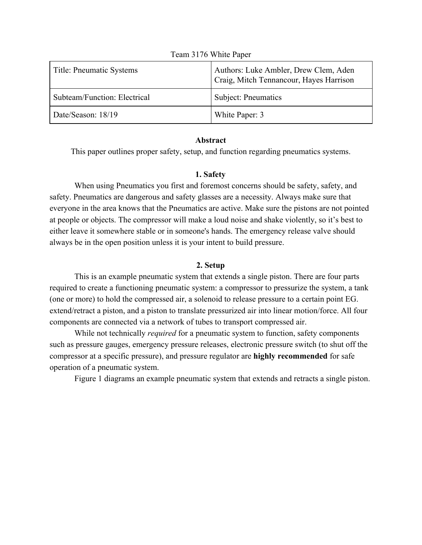| Title: Pneumatic Systems     | Authors: Luke Ambler, Drew Clem, Aden<br>Craig, Mitch Tennancour, Hayes Harrison |
|------------------------------|----------------------------------------------------------------------------------|
| Subteam/Function: Electrical | Subject: Pneumatics                                                              |
| Date/Season: 18/19           | White Paper: 3                                                                   |

#### Team 3176 White Paper

#### **Abstract**

This paper outlines proper safety, setup, and function regarding pneumatics systems.

#### **1. Safety**

When using Pneumatics you first and foremost concerns should be safety, safety, and safety. Pneumatics are dangerous and safety glasses are a necessity. Always make sure that everyone in the area knows that the Pneumatics are active. Make sure the pistons are not pointed at people or objects. The compressor will make a loud noise and shake violently, so it's best to either leave it somewhere stable or in someone's hands. The emergency release valve should always be in the open position unless it is your intent to build pressure.

# **2. Setup**

This is an example pneumatic system that extends a single piston. There are four parts required to create a functioning pneumatic system: a compressor to pressurize the system, a tank (one or more) to hold the compressed air, a solenoid to release pressure to a certain point EG. extend/retract a piston, and a piston to translate pressurized air into linear motion/force. All four components are connected via a network of tubes to transport compressed air.

While not technically *required* for a pneumatic system to function, safety components such as pressure gauges, emergency pressure releases, electronic pressure switch (to shut off the compressor at a specific pressure), and pressure regulator are **highly recommended** for safe operation of a pneumatic system.

Figure 1 diagrams an example pneumatic system that extends and retracts a single piston.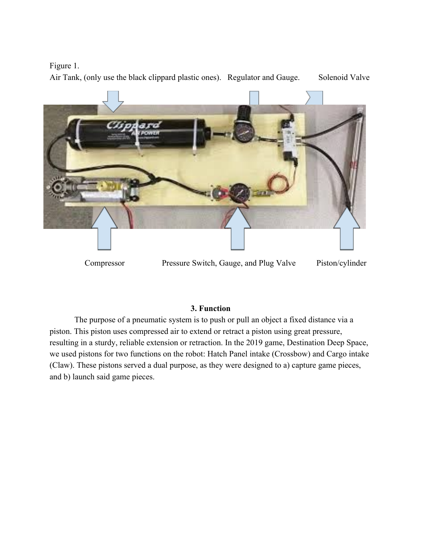# Figure 1.

Air Tank, (only use the black clippard plastic ones). Regulator and Gauge. Solenoid Valve



Compressor Pressure Switch, Gauge, and Plug Valve Piston/cylinder

# **3. Function**

The purpose of a pneumatic system is to push or pull an object a fixed distance via a piston. This piston uses compressed air to extend or retract a piston using great pressure, resulting in a sturdy, reliable extension or retraction. In the 2019 game, Destination Deep Space, we used pistons for two functions on the robot: Hatch Panel intake (Crossbow) and Cargo intake (Claw). These pistons served a dual purpose, as they were designed to a) capture game pieces, and b) launch said game pieces.